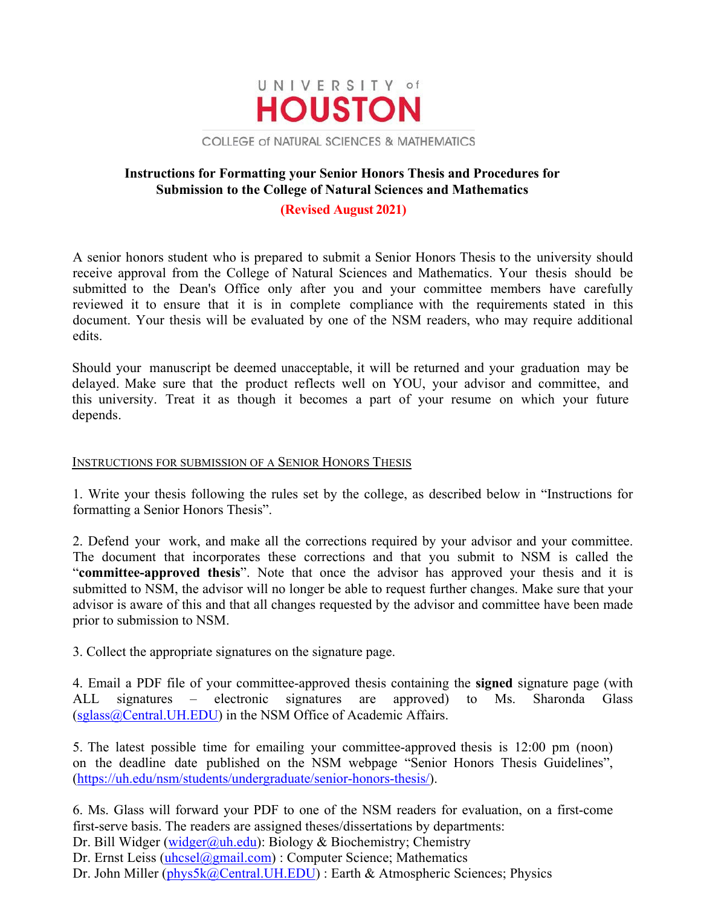

COLLEGE of NATURAL SCIENCES & MATHEMATICS

## **Instructions for Formatting your Senior Honors Thesis and Procedures for Submission to the College of Natural Sciences and Mathematics**

#### **(Revised August 2021)**

A senior honors student who is prepared to submit a Senior Honors Thesis to the university should receive approval from the College of Natural Sciences and Mathematics. Your thesis should be submitted to the Dean's Office only after you and your committee members have carefully reviewed it to ensure that it is in complete compliance with the requirements stated in this document. Your thesis will be evaluated by one of the NSM readers, who may require additional edits.

Should your manuscript be deemed unacceptable, it will be returned and your graduation may be delayed. Make sure that the product reflects well on YOU, your advisor and committee, and this university. Treat it as though it becomes a part of your resume on which your future depends.

#### INSTRUCTIONS FOR SUBMISSION OF A SENIOR HONORS THESIS

1. Write your thesis following the rules set by the college, as described below in "Instructions for formatting a Senior Honors Thesis".

2. Defend your work, and make all the corrections required by your advisor and your committee. The document that incorporates these corrections and that you submit to NSM is called the "**committee-approved thesis**". Note that once the advisor has approved your thesis and it is submitted to NSM, the advisor will no longer be able to request further changes. Make sure that your advisor is aware of this and that all changes requested by the advisor and committee have been made prior to submission to NSM.

3. Collect the appropriate signatures on the signature page.

4. Email a PDF file of your committee-approved thesis containing the **signed** signature page (with ALL signatures – electronic signatures are approved) to Ms. Sharonda Glass (sglass@Central.UH.EDU) in the NSM Office of Academic Affairs.

5. The latest possible time for emailing your committee-approved thesis is 12:00 pm (noon) on the deadline date published on the NSM webpage "Senior Honors Thesis Guidelines", (https://uh.edu/nsm/students/undergraduate/senior-honors-thesis/).

6. Ms. Glass will forward your PDF to one of the NSM readers for evaluation, on a first-come first-serve basis. The readers are assigned theses/dissertations by departments: Dr. Bill Widger (widger@uh.edu): Biology & Biochemistry; Chemistry Dr. Ernst Leiss (uhcsel@gmail.com) : Computer Science; Mathematics

Dr. John Miller (phys5k@Central.UH.EDU) : Earth & Atmospheric Sciences; Physics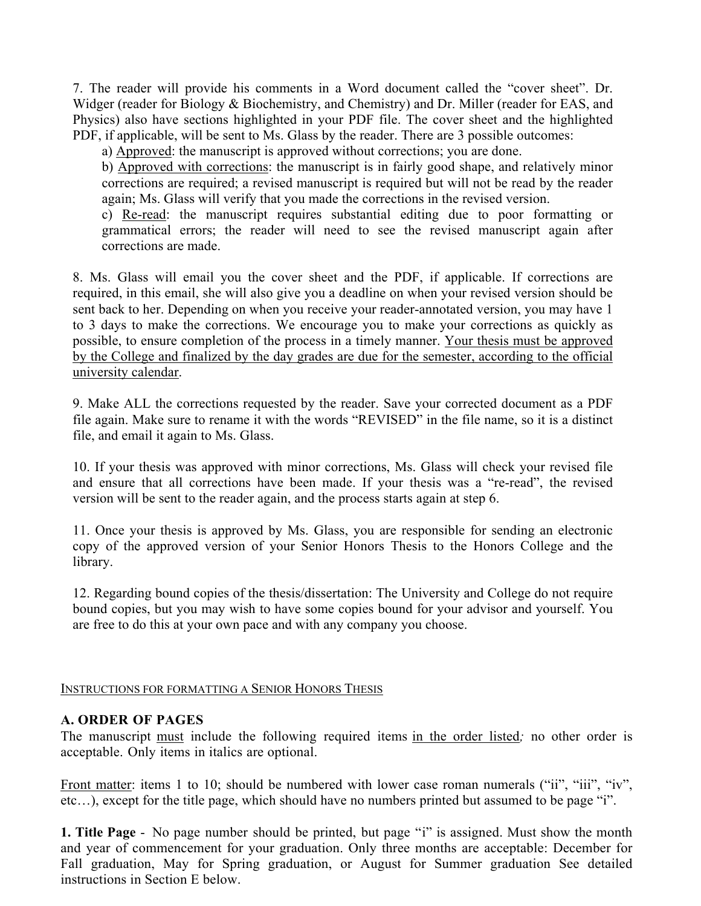7. The reader will provide his comments in a Word document called the "cover sheet". Dr. Widger (reader for Biology & Biochemistry, and Chemistry) and Dr. Miller (reader for EAS, and Physics) also have sections highlighted in your PDF file. The cover sheet and the highlighted PDF, if applicable, will be sent to Ms. Glass by the reader. There are 3 possible outcomes:

a) Approved: the manuscript is approved without corrections; you are done.

b) Approved with corrections: the manuscript is in fairly good shape, and relatively minor corrections are required; a revised manuscript is required but will not be read by the reader again; Ms. Glass will verify that you made the corrections in the revised version.

c) Re-read: the manuscript requires substantial editing due to poor formatting or grammatical errors; the reader will need to see the revised manuscript again after corrections are made.

8. Ms. Glass will email you the cover sheet and the PDF, if applicable. If corrections are required, in this email, she will also give you a deadline on when your revised version should be sent back to her. Depending on when you receive your reader-annotated version, you may have 1 to 3 days to make the corrections. We encourage you to make your corrections as quickly as possible, to ensure completion of the process in a timely manner. Your thesis must be approved by the College and finalized by the day grades are due for the semester, according to the official university calendar.

9. Make ALL the corrections requested by the reader. Save your corrected document as a PDF file again. Make sure to rename it with the words "REVISED" in the file name, so it is a distinct file, and email it again to Ms. Glass.

10. If your thesis was approved with minor corrections, Ms. Glass will check your revised file and ensure that all corrections have been made. If your thesis was a "re-read", the revised version will be sent to the reader again, and the process starts again at step 6.

11. Once your thesis is approved by Ms. Glass, you are responsible for sending an electronic copy of the approved version of your Senior Honors Thesis to the Honors College and the library.

12. Regarding bound copies of the thesis/dissertation: The University and College do not require bound copies, but you may wish to have some copies bound for your advisor and yourself. You are free to do this at your own pace and with any company you choose.

### INSTRUCTIONS FOR FORMATTING A SENIOR HONORS THESIS

### **A. ORDER OF PAGES**

The manuscript must include the following required items in the order listed*;* no other order is acceptable. Only items in italics are optional.

Front matter: items 1 to 10; should be numbered with lower case roman numerals ("ii", "iii", "iv", etc…), except for the title page, which should have no numbers printed but assumed to be page "i".

**1. Title Page** - No page number should be printed, but page "i" is assigned. Must show the month and year of commencement for your graduation. Only three months are acceptable: December for Fall graduation, May for Spring graduation, or August for Summer graduation See detailed instructions in Section E below.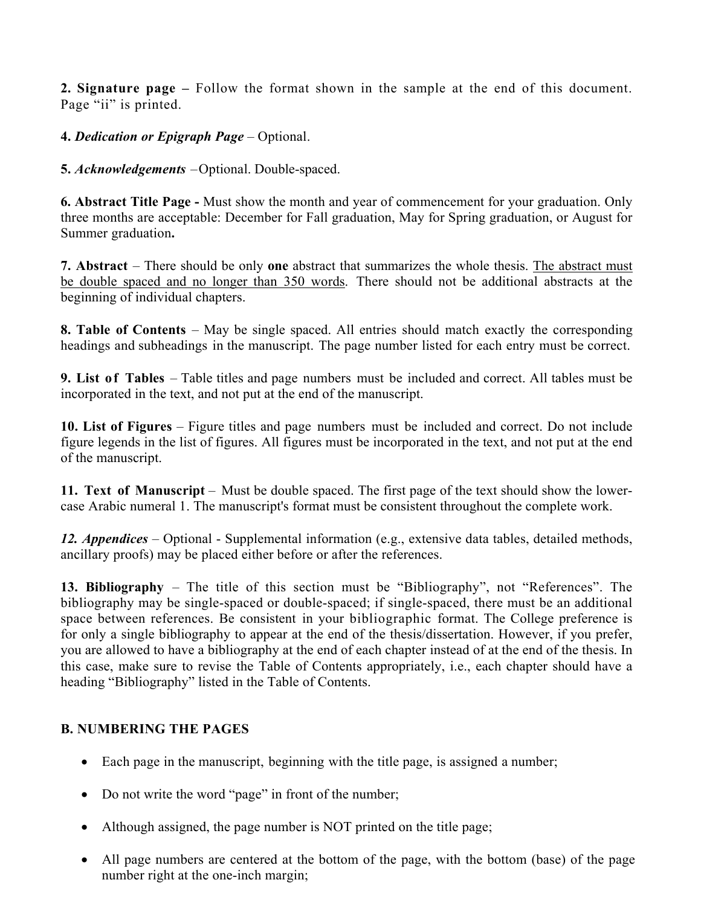**2. Signature page –** Follow the format shown in the sample at the end of this document. Page "ii" is printed.

## **4.** *Dedication or Epigraph Page* – Optional.

**5.** *Acknowledgements –*Optional. Double-spaced.

**6. Abstract Title Page -** Must show the month and year of commencement for your graduation. Only three months are acceptable: December for Fall graduation, May for Spring graduation, or August for Summer graduation**.** 

**7. Abstract** – There should be only **one** abstract that summarizes the whole thesis. The abstract must be double spaced and no longer than 350 words. There should not be additional abstracts at the beginning of individual chapters.

**8. Table of Contents** – May be single spaced. All entries should match exactly the corresponding headings and subheadings in the manuscript. The page number listed for each entry must be correct.

**9. List of Tables** – Table titles and page numbers must be included and correct. All tables must be incorporated in the text, and not put at the end of the manuscript.

**10. List of Figures** – Figure titles and page numbers must be included and correct. Do not include figure legends in the list of figures. All figures must be incorporated in the text, and not put at the end of the manuscript.

**11. Text of Manuscript** – Must be double spaced. The first page of the text should show the lowercase Arabic numeral 1. The manuscript's format must be consistent throughout the complete work.

*12. Appendices* – Optional - Supplemental information (e.g., extensive data tables, detailed methods, ancillary proofs) may be placed either before or after the references.

**13. Bibliography** – The title of this section must be "Bibliography", not "References". The bibliography may be single-spaced or double-spaced; if single-spaced, there must be an additional space between references. Be consistent in your bibliographic format. The College preference is for only a single bibliography to appear at the end of the thesis/dissertation. However, if you prefer, you are allowed to have a bibliography at the end of each chapter instead of at the end of the thesis. In this case, make sure to revise the Table of Contents appropriately, i.e., each chapter should have a heading "Bibliography" listed in the Table of Contents.

# **B. NUMBERING THE PAGES**

- Each page in the manuscript, beginning with the title page, is assigned a number;
- Do not write the word "page" in front of the number;
- Although assigned, the page number is NOT printed on the title page;
- All page numbers are centered at the bottom of the page, with the bottom (base) of the page number right at the one-inch margin;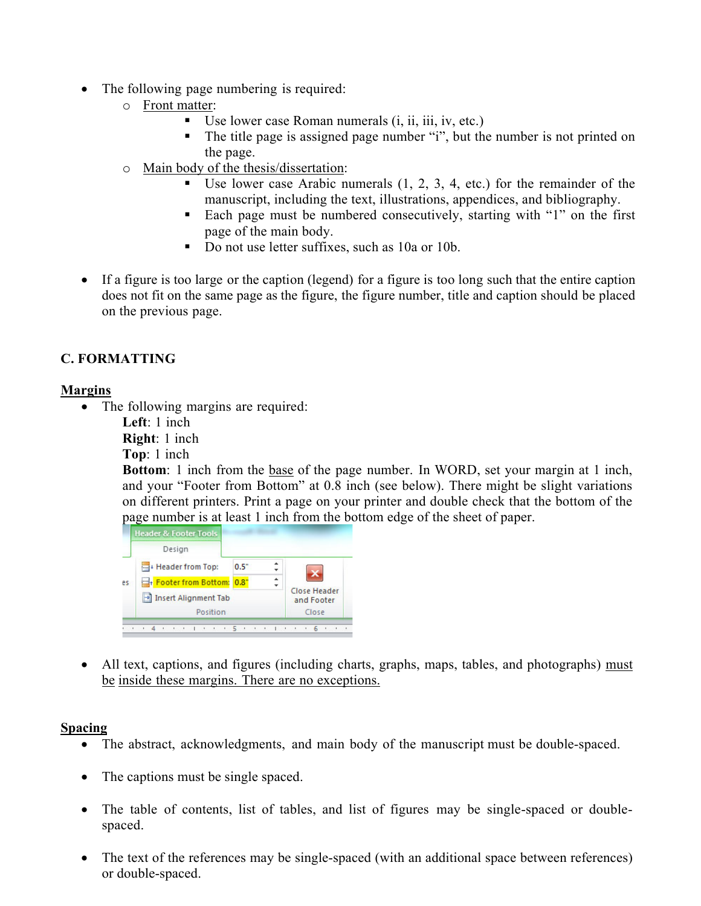- The following page numbering is required:
	- o Front matter:
		- Use lower case Roman numerals *(i, ii, iii, iv, etc.)*
		- The title page is assigned page number "i", but the number is not printed on the page.
	- o Main body of the thesis/dissertation:
		- Use lower case Arabic numerals (1, 2, 3, 4, etc.) for the remainder of the manuscript, including the text, illustrations, appendices, and bibliography.
		- Each page must be numbered consecutively, starting with "1" on the first page of the main body.
		- Do not use letter suffixes, such as 10a or 10b.
- If a figure is too large or the caption (legend) for a figure is too long such that the entire caption does not fit on the same page as the figure, the figure number, title and caption should be placed on the previous page.

# **C. FORMATTING**

### **Margins**

• The following margins are required:

**Left**: 1 inch **Right**: 1 inch **Top**: 1 inch

**Bottom**: 1 inch from the base of the page number. In WORD, set your margin at 1 inch, and your "Footer from Bottom" at 0.8 inch (see below). There might be slight variations on different printers. Print a page on your printer and double check that the bottom of the page number is at least 1 inch from the bottom edge of the sheet of paper.



• All text, captions, and figures (including charts, graphs, maps, tables, and photographs) must be inside these margins. There are no exceptions.

### **Spacing**

- The abstract, acknowledgments, and main body of the manuscript must be double-spaced.
- The captions must be single spaced.
- The table of contents, list of tables, and list of figures may be single-spaced or doublespaced.
- The text of the references may be single-spaced (with an additional space between references) or double-spaced.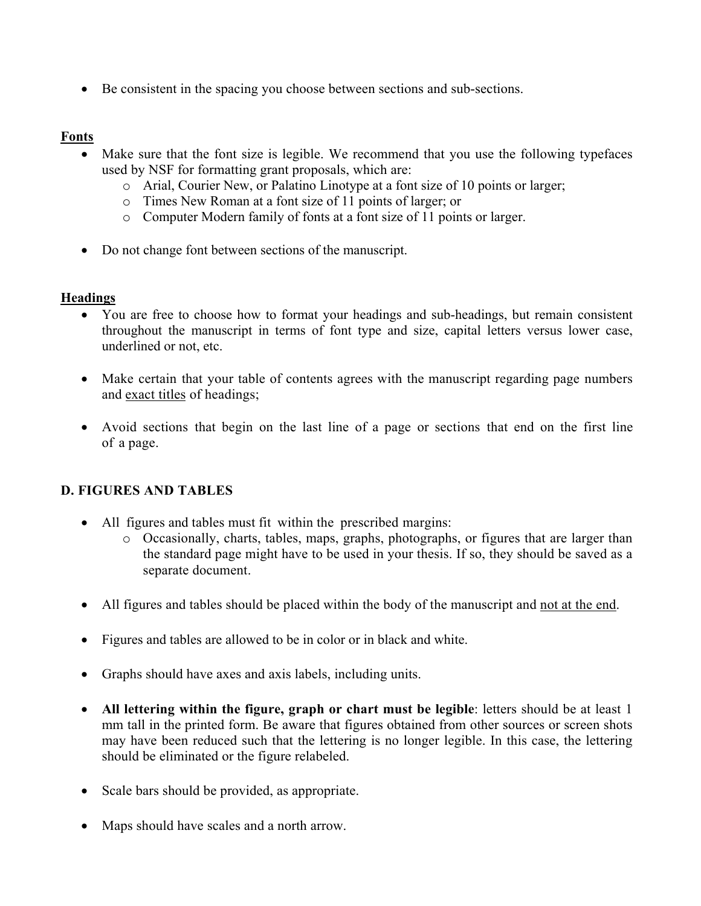Be consistent in the spacing you choose between sections and sub-sections.

## **Fonts**

- Make sure that the font size is legible. We recommend that you use the following typefaces used by NSF for formatting grant proposals, which are:
	- o Arial, Courier New, or Palatino Linotype at a font size of 10 points or larger;
	- o Times New Roman at a font size of 11 points of larger; or
	- o Computer Modern family of fonts at a font size of 11 points or larger.
- Do not change font between sections of the manuscript.

# **Headings**

- You are free to choose how to format your headings and sub-headings, but remain consistent throughout the manuscript in terms of font type and size, capital letters versus lower case, underlined or not, etc.
- Make certain that your table of contents agrees with the manuscript regarding page numbers and exact titles of headings;
- Avoid sections that begin on the last line of a page or sections that end on the first line of a page.

# **D. FIGURES AND TABLES**

- All figures and tables must fit within the prescribed margins:
	- o Occasionally, charts, tables, maps, graphs, photographs, or figures that are larger than the standard page might have to be used in your thesis. If so, they should be saved as a separate document.
- All figures and tables should be placed within the body of the manuscript and not at the end.
- Figures and tables are allowed to be in color or in black and white.
- Graphs should have axes and axis labels, including units.
- **All lettering within the figure, graph or chart must be legible**: letters should be at least 1 mm tall in the printed form. Be aware that figures obtained from other sources or screen shots may have been reduced such that the lettering is no longer legible. In this case, the lettering should be eliminated or the figure relabeled.
- Scale bars should be provided, as appropriate.
- Maps should have scales and a north arrow.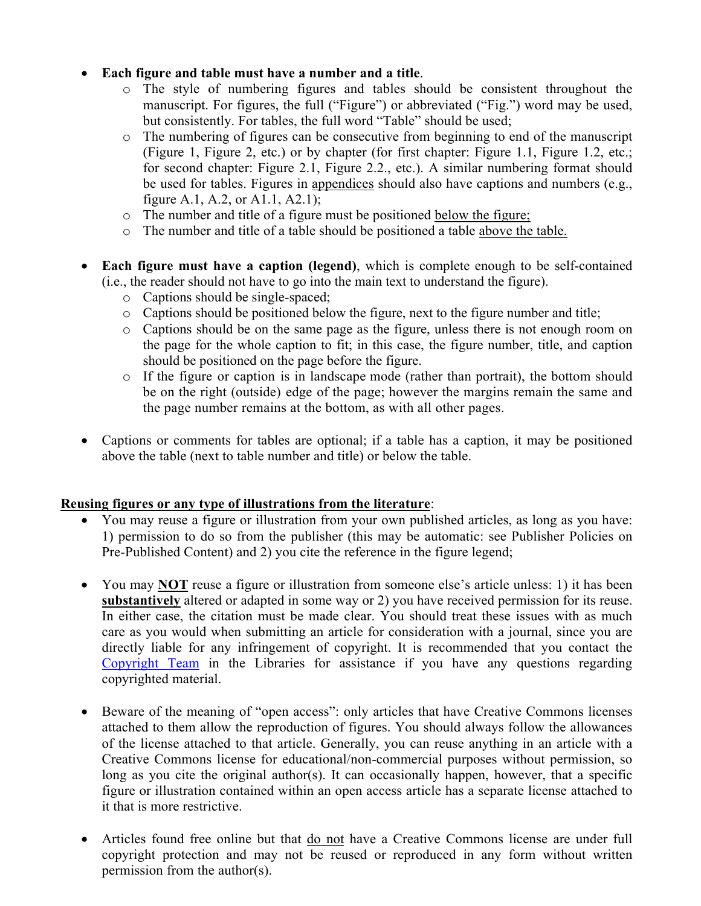## **Each figure and table must have a number and a title**.

- o The style of numbering figures and tables should be consistent throughout the manuscript. For figures, the full ("Figure") or abbreviated ("Fig.") word may be used, but consistently. For tables, the full word "Table" should be used;
- o The numbering of figures can be consecutive from beginning to end of the manuscript (Figure 1, Figure 2, etc.) or by chapter (for first chapter: Figure 1.1, Figure 1.2, etc.; for second chapter: Figure 2.1, Figure 2.2., etc.). A similar numbering format should be used for tables. Figures in appendices should also have captions and numbers (e.g., figure A.1, A.2, or A1.1, A2.1);
- o The number and title of a figure must be positioned below the figure;
- o The number and title of a table should be positioned a table above the table.
- **Each figure must have a caption (legend)**, which is complete enough to be self-contained (i.e., the reader should not have to go into the main text to understand the figure).
	- o Captions should be single-spaced;
	- o Captions should be positioned below the figure, next to the figure number and title;
	- o Captions should be on the same page as the figure, unless there is not enough room on the page for the whole caption to fit; in this case, the figure number, title, and caption should be positioned on the page before the figure.
	- o If the figure or caption is in landscape mode (rather than portrait), the bottom should be on the right (outside) edge of the page; however the margins remain the same and the page number remains at the bottom, as with all other pages.
- Captions or comments for tables are optional; if a table has a caption, it may be positioned above the table (next to table number and title) or below the table.

### **Reusing figures or any type of illustrations from the literature**:

- You may reuse a figure or illustration from your own published articles, as long as you have: 1) permission to do so from the publisher (this may be automatic: see Publisher Policies on Pre-Published Content) and 2) you cite the reference in the figure legend;
- You may **NOT** reuse a figure or illustration from someone else's article unless: 1) it has been **substantively** altered or adapted in some way or 2) you have received permission for its reuse. In either case, the citation must be made clear. You should treat these issues with as much care as you would when submitting an article for consideration with a journal, since you are directly liable for any infringement of copyright. It is recommended that you contact the Copyright Team in the Libraries for assistance if you have any questions regarding copyrighted material.
- Beware of the meaning of "open access": only articles that have Creative Commons licenses attached to them allow the reproduction of figures. You should always follow the allowances of the license attached to that article. Generally, you can reuse anything in an article with a Creative Commons license for educational/non-commercial purposes without permission, so long as you cite the original author(s). It can occasionally happen, however, that a specific figure or illustration contained within an open access article has a separate license attached to it that is more restrictive.
- Articles found free online but that do not have a Creative Commons license are under full copyright protection and may not be reused or reproduced in any form without written permission from the author(s).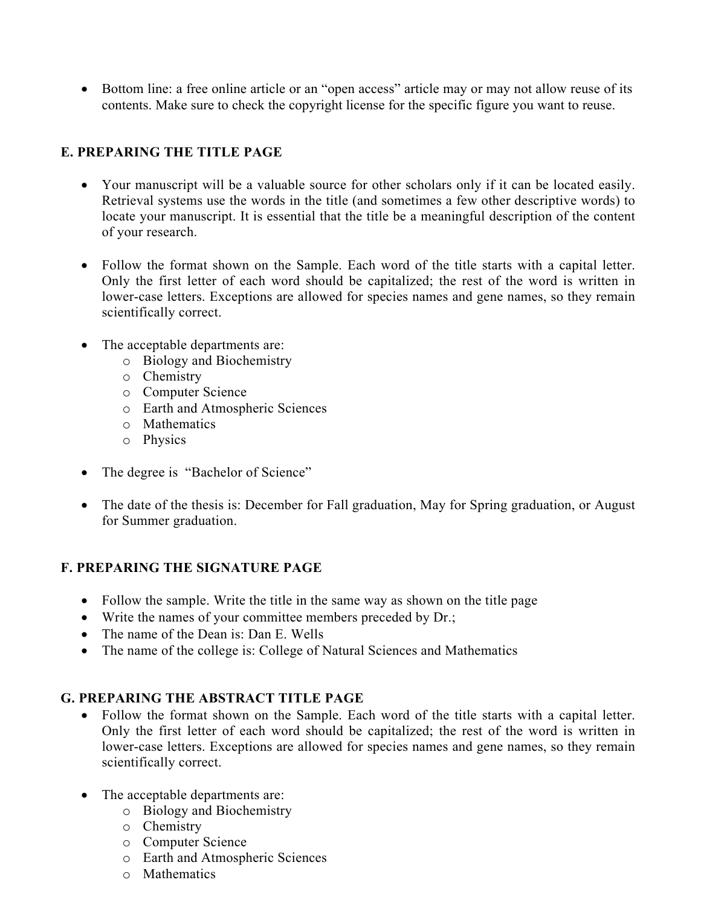• Bottom line: a free online article or an "open access" article may or may not allow reuse of its contents. Make sure to check the copyright license for the specific figure you want to reuse.

# **E. PREPARING THE TITLE PAGE**

- Your manuscript will be a valuable source for other scholars only if it can be located easily. Retrieval systems use the words in the title (and sometimes a few other descriptive words) to locate your manuscript. It is essential that the title be a meaningful description of the content of your research.
- Follow the format shown on the Sample. Each word of the title starts with a capital letter. Only the first letter of each word should be capitalized; the rest of the word is written in lower-case letters. Exceptions are allowed for species names and gene names, so they remain scientifically correct.
- The acceptable departments are:
	- o Biology and Biochemistry
	- o Chemistry
	- o Computer Science
	- o Earth and Atmospheric Sciences
	- o Mathematics
	- o Physics
- The degree is "Bachelor of Science"
- The date of the thesis is: December for Fall graduation, May for Spring graduation, or August for Summer graduation.

### **F. PREPARING THE SIGNATURE PAGE**

- Follow the sample. Write the title in the same way as shown on the title page
- Write the names of your committee members preceded by Dr.;
- The name of the Dean is: Dan E. Wells
- The name of the college is: College of Natural Sciences and Mathematics

# **G. PREPARING THE ABSTRACT TITLE PAGE**

- Follow the format shown on the Sample. Each word of the title starts with a capital letter. Only the first letter of each word should be capitalized; the rest of the word is written in lower-case letters. Exceptions are allowed for species names and gene names, so they remain scientifically correct.
- The acceptable departments are:
	- o Biology and Biochemistry
	- o Chemistry
	- o Computer Science
	- o Earth and Atmospheric Sciences
	- o Mathematics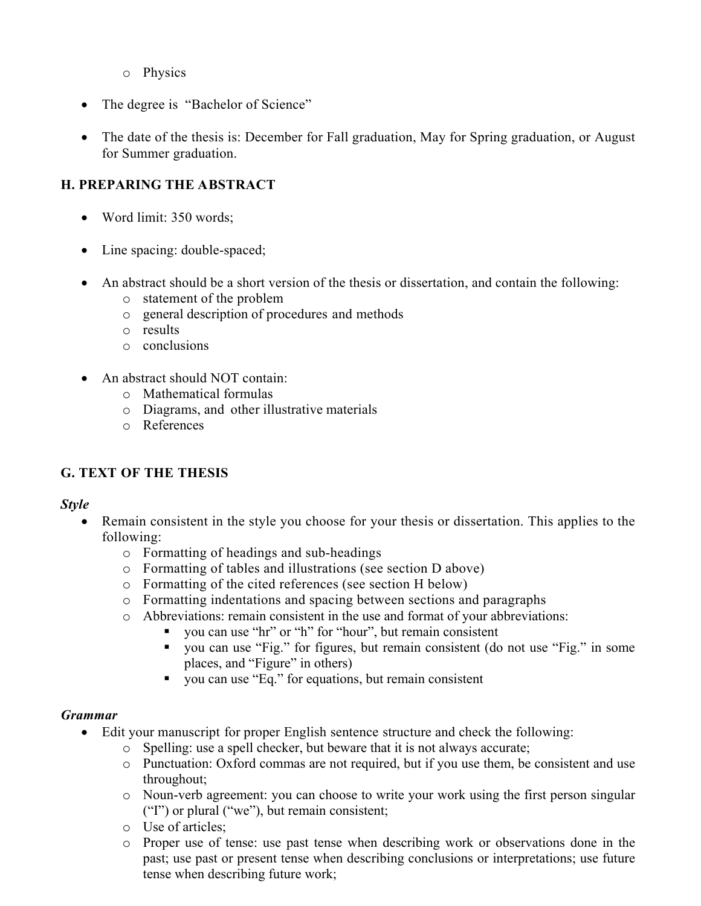- o Physics
- The degree is "Bachelor of Science"
- The date of the thesis is: December for Fall graduation, May for Spring graduation, or August for Summer graduation.

# **H. PREPARING THE ABSTRACT**

- Word limit: 350 words;
- Line spacing: double-spaced;
- An abstract should be a short version of the thesis or dissertation, and contain the following:
	- o statement of the problem
	- o general description of procedures and methods
	- o results
	- o conclusions
- An abstract should NOT contain:
	- o Mathematical formulas
	- o Diagrams, and other illustrative materials
	- o References

### **G. TEXT OF THE THESIS**

### *Style*

- Remain consistent in the style you choose for your thesis or dissertation. This applies to the following:
	- o Formatting of headings and sub-headings
	- o Formatting of tables and illustrations (see section D above)
	- o Formatting of the cited references (see section H below)
	- o Formatting indentations and spacing between sections and paragraphs
	- o Abbreviations: remain consistent in the use and format of your abbreviations:
		- you can use "hr" or "h" for "hour", but remain consistent
		- you can use "Fig." for figures, but remain consistent (do not use "Fig." in some places, and "Figure" in others)
		- you can use "Eq." for equations, but remain consistent

### *Grammar*

- Edit your manuscript for proper English sentence structure and check the following:
	- o Spelling: use a spell checker, but beware that it is not always accurate;
	- o Punctuation: Oxford commas are not required, but if you use them, be consistent and use throughout;
	- o Noun-verb agreement: you can choose to write your work using the first person singular ("I") or plural ("we"), but remain consistent;
	- o Use of articles;
	- o Proper use of tense: use past tense when describing work or observations done in the past; use past or present tense when describing conclusions or interpretations; use future tense when describing future work;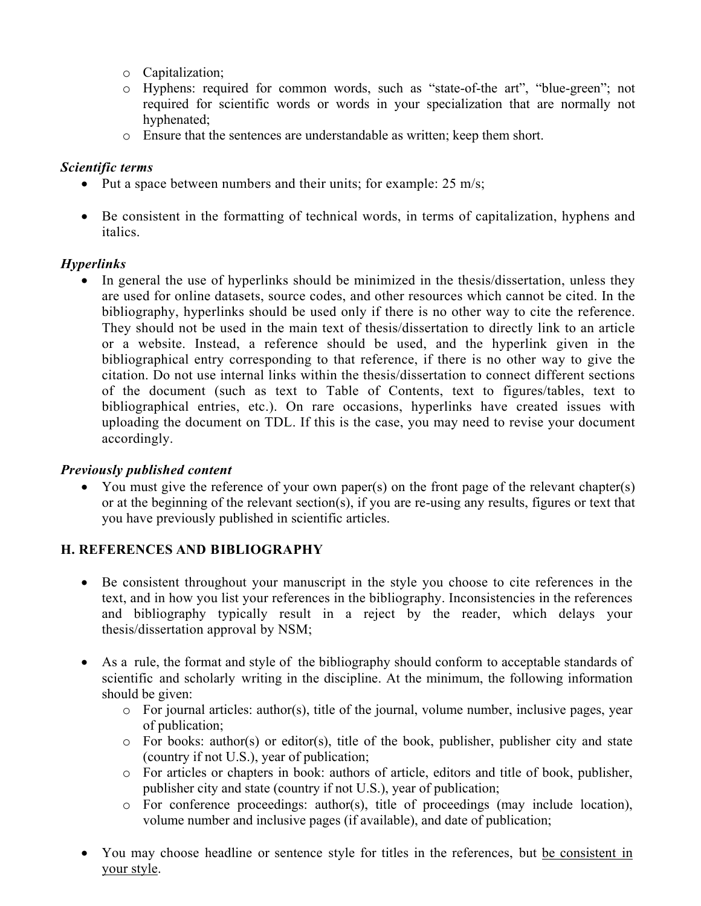- o Capitalization;
- o Hyphens: required for common words, such as "state-of-the art", "blue-green"; not required for scientific words or words in your specialization that are normally not hyphenated;
- o Ensure that the sentences are understandable as written; keep them short.

# *Scientific terms*

- Put a space between numbers and their units; for example:  $25 \text{ m/s}$ ;
- Be consistent in the formatting of technical words, in terms of capitalization, hyphens and italics.

# *Hyperlinks*

• In general the use of hyperlinks should be minimized in the thesis/dissertation, unless they are used for online datasets, source codes, and other resources which cannot be cited. In the bibliography, hyperlinks should be used only if there is no other way to cite the reference. They should not be used in the main text of thesis/dissertation to directly link to an article or a website. Instead, a reference should be used, and the hyperlink given in the bibliographical entry corresponding to that reference, if there is no other way to give the citation. Do not use internal links within the thesis/dissertation to connect different sections of the document (such as text to Table of Contents, text to figures/tables, text to bibliographical entries, etc.). On rare occasions, hyperlinks have created issues with uploading the document on TDL. If this is the case, you may need to revise your document accordingly.

### *Previously published content*

• You must give the reference of your own paper(s) on the front page of the relevant chapter(s) or at the beginning of the relevant section(s), if you are re-using any results, figures or text that you have previously published in scientific articles.

### **H. REFERENCES AND BIBLIOGRAPHY**

- Be consistent throughout your manuscript in the style you choose to cite references in the text, and in how you list your references in the bibliography. Inconsistencies in the references and bibliography typically result in a reject by the reader, which delays your thesis/dissertation approval by NSM;
- As a rule, the format and style of the bibliography should conform to acceptable standards of scientific and scholarly writing in the discipline. At the minimum, the following information should be given:
	- $\circ$  For journal articles: author(s), title of the journal, volume number, inclusive pages, year of publication;
	- o For books: author(s) or editor(s), title of the book, publisher, publisher city and state (country if not U.S.), year of publication;
	- o For articles or chapters in book: authors of article, editors and title of book, publisher, publisher city and state (country if not U.S.), year of publication;
	- o For conference proceedings: author(s), title of proceedings (may include location), volume number and inclusive pages (if available), and date of publication;
- You may choose headline or sentence style for titles in the references, but be consistent in your style.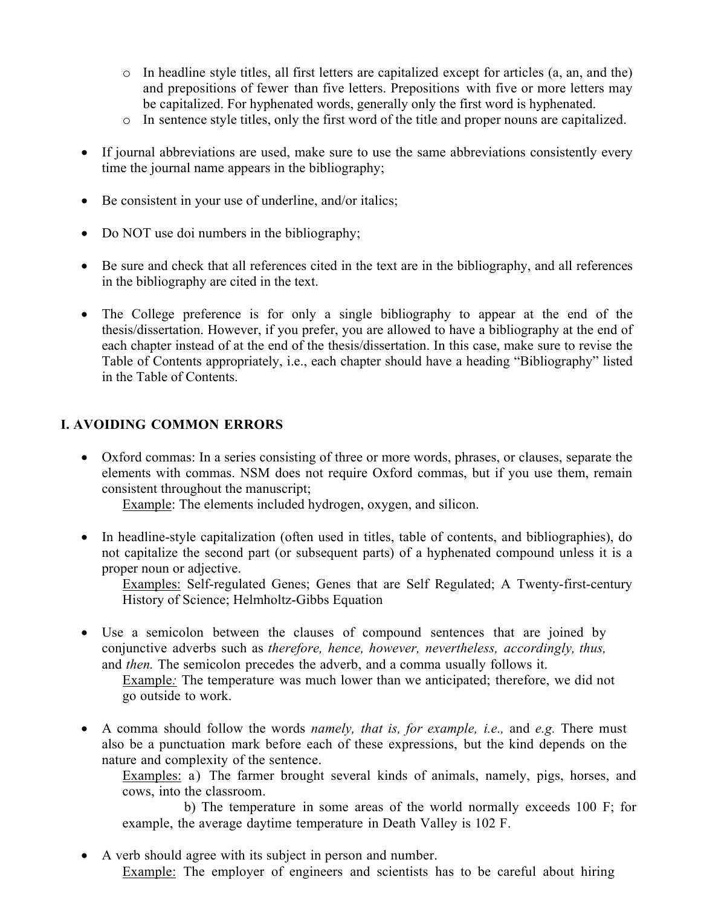- $\circ$  In headline style titles, all first letters are capitalized except for articles (a, an, and the) and prepositions of fewer than five letters. Prepositions with five or more letters may be capitalized. For hyphenated words, generally only the first word is hyphenated.
- o In sentence style titles, only the first word of the title and proper nouns are capitalized.
- If journal abbreviations are used, make sure to use the same abbreviations consistently every time the journal name appears in the bibliography;
- Be consistent in your use of underline, and/or italics;
- Do NOT use doi numbers in the bibliography;
- Be sure and check that all references cited in the text are in the bibliography, and all references in the bibliography are cited in the text.
- The College preference is for only a single bibliography to appear at the end of the thesis/dissertation. However, if you prefer, you are allowed to have a bibliography at the end of each chapter instead of at the end of the thesis/dissertation. In this case, make sure to revise the Table of Contents appropriately, i.e., each chapter should have a heading "Bibliography" listed in the Table of Contents.

### **I. AVOIDING COMMON ERRORS**

 Oxford commas: In a series consisting of three or more words, phrases, or clauses, separate the elements with commas. NSM does not require Oxford commas, but if you use them, remain consistent throughout the manuscript;

Example: The elements included hydrogen, oxygen, and silicon.

 In headline-style capitalization (often used in titles, table of contents, and bibliographies), do not capitalize the second part (or subsequent parts) of a hyphenated compound unless it is a proper noun or adjective.

Examples: Self-regulated Genes; Genes that are Self Regulated; A Twenty-first-century History of Science; Helmholtz-Gibbs Equation

 Use a semicolon between the clauses of compound sentences that are joined by conjunctive adverbs such as *therefore, hence, however, nevertheless, accordingly, thus,*  and *then.* The semicolon precedes the adverb, and a comma usually follows it.

Example*:* The temperature was much lower than we anticipated; therefore, we did not go outside to work.

 A comma should follow the words *namely, that is, for example, i.e.,* and *e.g.* There must also be a punctuation mark before each of these expressions, but the kind depends on the nature and complexity of the sentence.

Examples: a) The farmer brought several kinds of animals, namely, pigs, horses, and cows, into the classroom.

b) The temperature in some areas of the world normally exceeds 100 F; for example, the average daytime temperature in Death Valley is 102 F.

 A verb should agree with its subject in person and number. Example: The employer of engineers and scientists has to be careful about hiring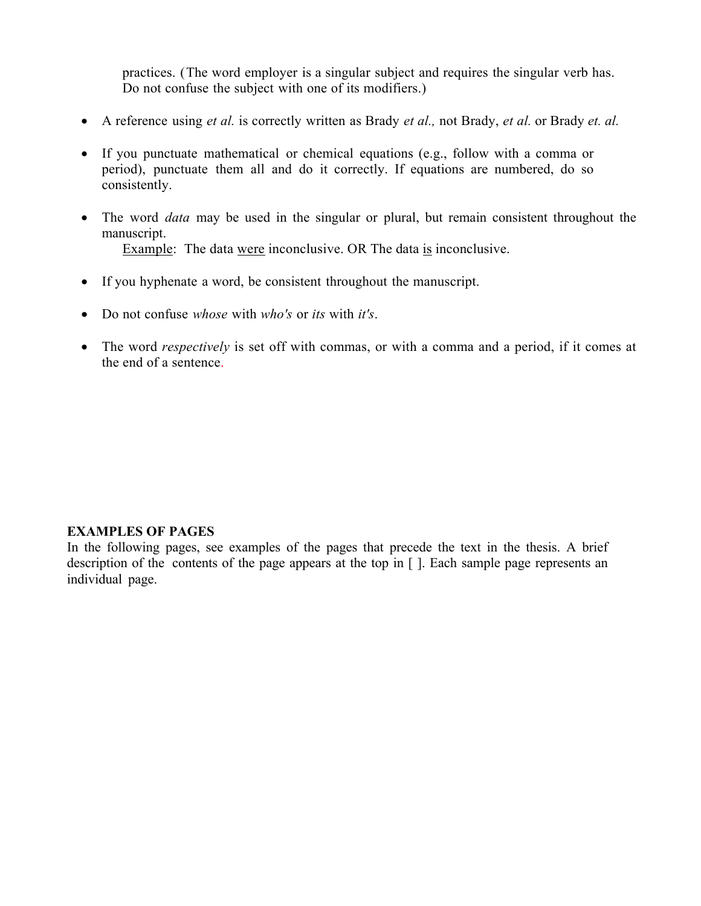practices. (The word employer is a singular subject and requires the singular verb has. Do not confuse the subject with one of its modifiers.)

- A reference using *et al.* is correctly written as Brady *et al.,* not Brady, *et al.* or Brady *et. al.*
- If you punctuate mathematical or chemical equations (e.g., follow with a comma or period), punctuate them all and do it correctly. If equations are numbered, do so consistently.
- The word *data* may be used in the singular or plural, but remain consistent throughout the manuscript. Example: The data were inconclusive. OR The data is inconclusive.
- If you hyphenate a word, be consistent throughout the manuscript.
- Do not confuse *whose* with *who's* or *its* with *it's*.
- The word *respectively* is set off with commas, or with a comma and a period, if it comes at the end of a sentence.

#### **EXAMPLES OF PAGES**

In the following pages, see examples of the pages that precede the text in the thesis. A brief description of the contents of the page appears at the top in [ ]. Each sample page represents an individual page.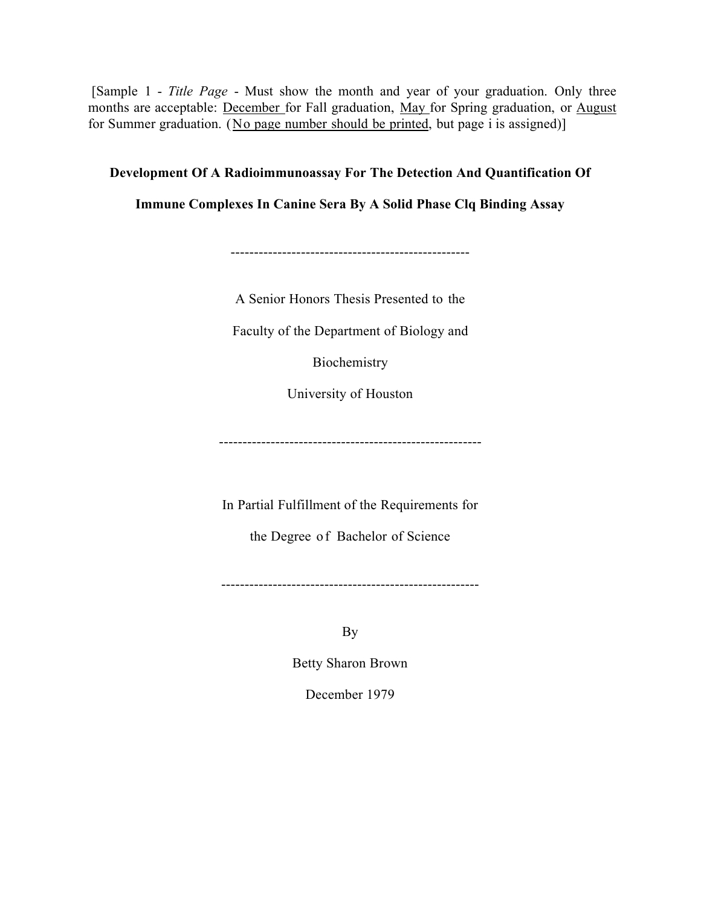[Sample 1 - *Title Page* - Must show the month and year of your graduation. Only three months are acceptable: December for Fall graduation, May for Spring graduation, or August for Summer graduation. (No page number should be printed, but page i is assigned)]

### **Development Of A Radioimmunoassay For The Detection And Quantification Of**

**Immune Complexes In Canine Sera By A Solid Phase Clq Binding Assay**

---------------------------------------------------

A Senior Honors Thesis Presented to the

Faculty of the Department of Biology and

Biochemistry

University of Houston

--------------------------------------------------------

In Partial Fulfillment of the Requirements for

the Degree o f Bachelor of Science

-------------------------------------------------------

By

Betty Sharon Brown

December 1979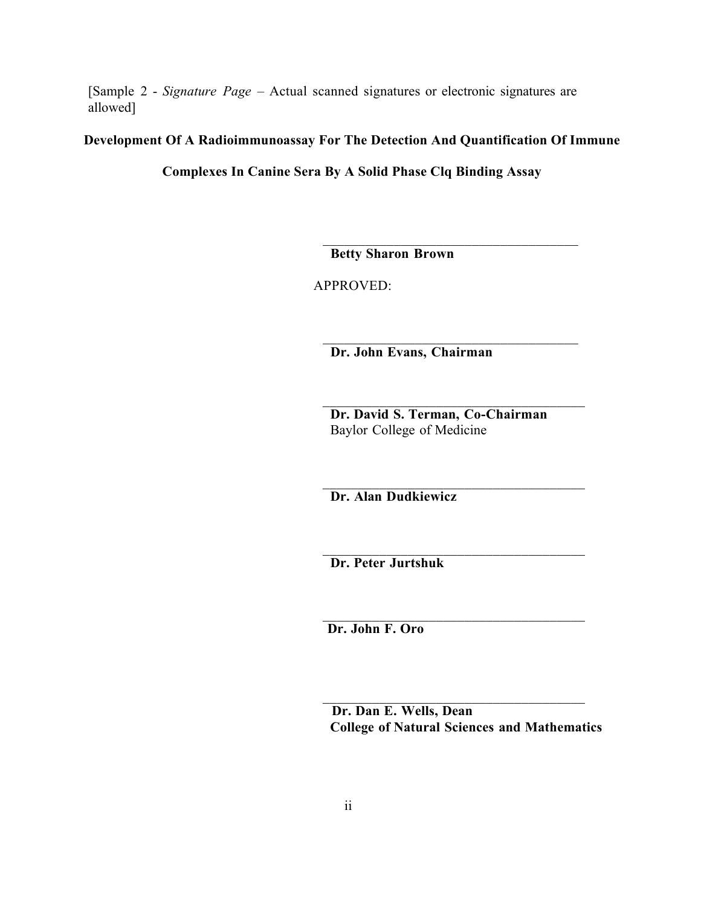[Sample 2 - *Signature Page* – Actual scanned signatures or electronic signatures are allowed]

### **Development Of A Radioimmunoassay For The Detection And Quantification Of Immune**

**Complexes In Canine Sera By A Solid Phase Clq Binding Assay** 

**Betty Sharon Brown**

APPROVED:

**Dr. John Evans, Chairman**

**Dr. David S. Terman, Co-Chairman** Baylor College of Medicine

 $\mathcal{L}_\text{max}$  and  $\mathcal{L}_\text{max}$  and  $\mathcal{L}_\text{max}$  and  $\mathcal{L}_\text{max}$ 

**Dr. Alan Dudkiewicz**

**Dr. Peter Jurtshuk**

**Dr. John F. Oro**

**Dr. Dan E. Wells, Dean College of Natural Sciences and Mathematics**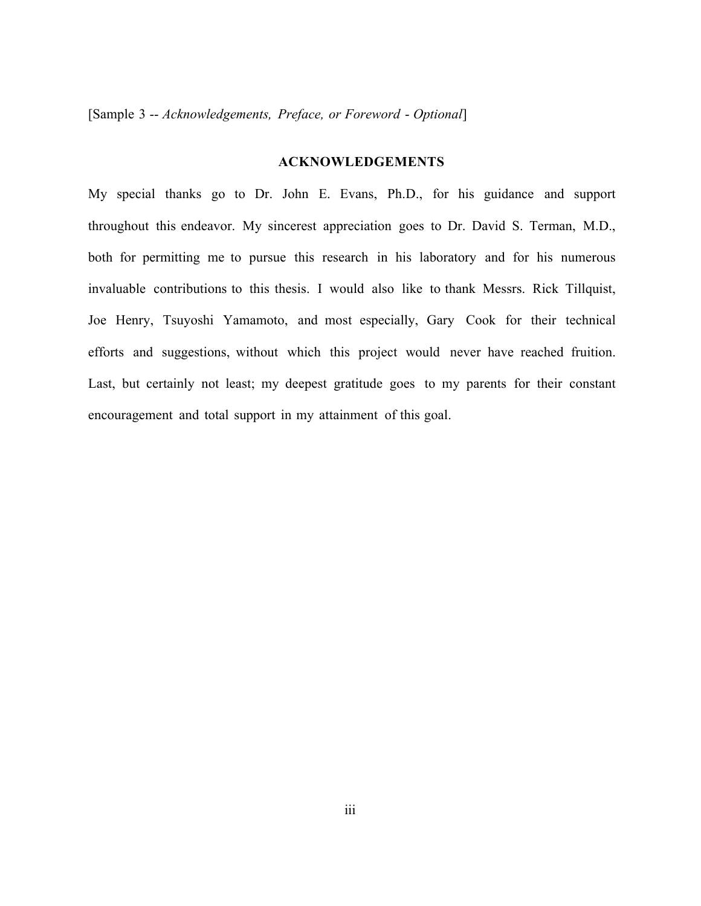[Sample 3 -- *Acknowledgements, Preface, or Foreword* - *Optional*]

#### **ACKNOWLEDGEMENTS**

My special thanks go to Dr. John E. Evans, Ph.D., for his guidance and support throughout this endeavor. My sincerest appreciation goes to Dr. David S. Terman, M.D., both for permitting me to pursue this research in his laboratory and for his numerous invaluable contributions to this thesis. I would also like to thank Messrs. Rick Tillquist, Joe Henry, Tsuyoshi Yamamoto, and most especially, Gary Cook for their technical efforts and suggestions, without which this project would never have reached fruition. Last, but certainly not least; my deepest gratitude goes to my parents for their constant encouragement and total support in my attainment of this goal.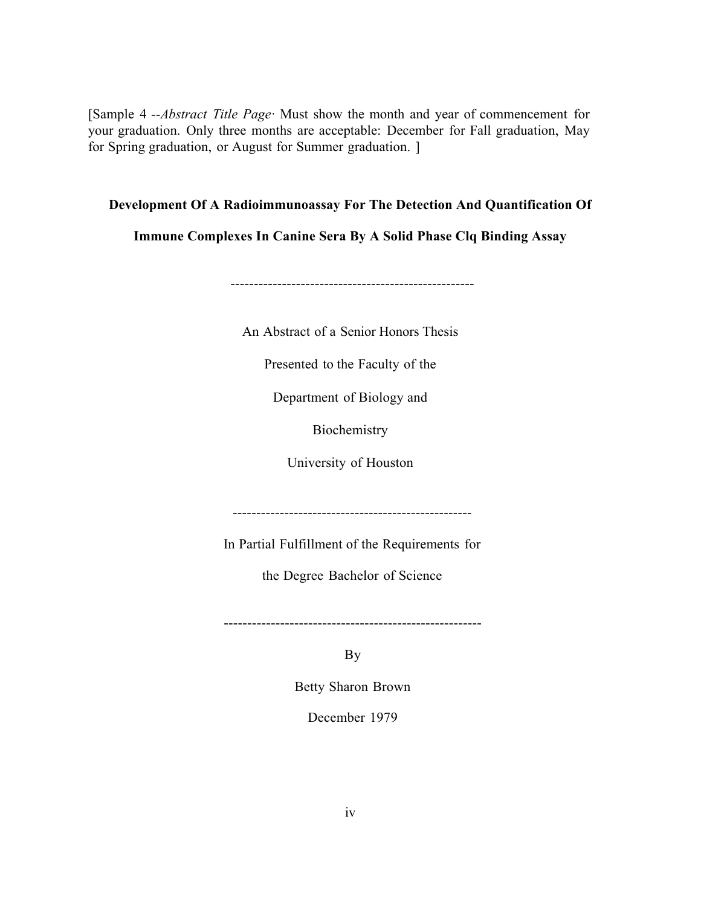[Sample 4 --Abstract Title Page<sup>*·*</sup> Must show the month and year of commencement for your graduation. Only three months are acceptable: December for Fall graduation, May for Spring graduation, or August for Summer graduation. ]

### **Development Of A Radioimmunoassay For The Detection And Quantification Of**

**Immune Complexes In Canine Sera By A Solid Phase Clq Binding Assay** 

----------------------------------------------------

An Abstract of a Senior Honors Thesis

Presented to the Faculty of the

Department of Biology and

Biochemistry

University of Houston

---------------------------------------------------

In Partial Fulfillment of the Requirements for

the Degree Bachelor of Science

-------------------------------------------------------

By

Betty Sharon Brown

December 1979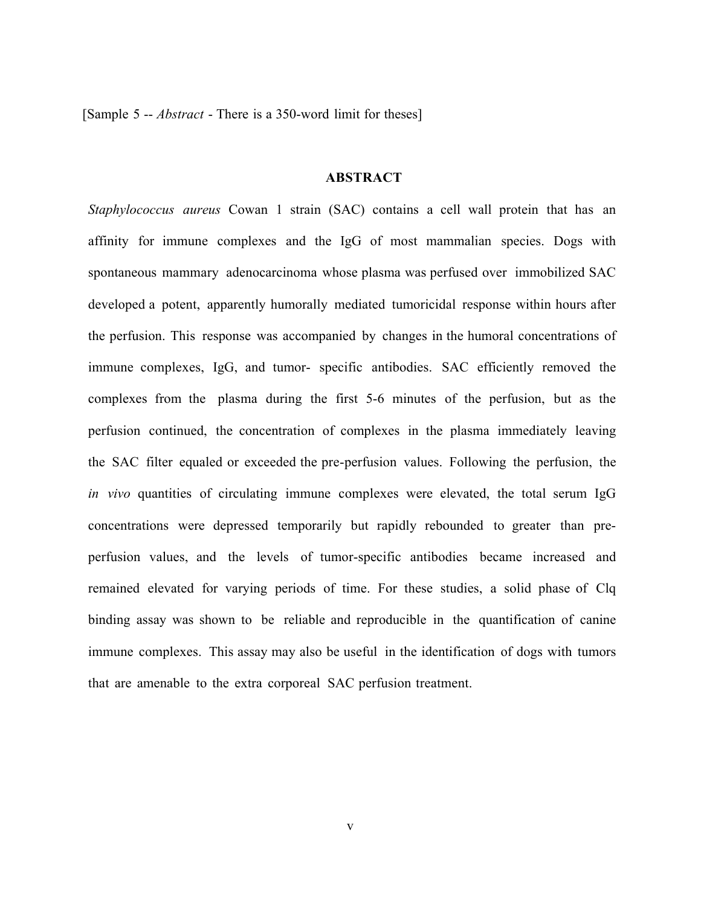[Sample 5 -- *Abstract* - There is a 350-word limit for theses]

### **ABSTRACT**

*Staphylococcus aureus* Cowan 1 strain (SAC) contains a cell wall protein that has an affinity for immune complexes and the IgG of most mammalian species. Dogs with spontaneous mammary adenocarcinoma whose plasma was perfused over immobilized SAC developed a potent, apparently humorally mediated tumoricidal response within hours after the perfusion. This response was accompanied by changes in the humoral concentrations of immune complexes, IgG, and tumor- specific antibodies. SAC efficiently removed the complexes from the plasma during the first 5-6 minutes of the perfusion, but as the perfusion continued, the concentration of complexes in the plasma immediately leaving the SAC filter equaled or exceeded the pre-perfusion values. Following the perfusion, the *in vivo* quantities of circulating immune complexes were elevated, the total serum IgG concentrations were depressed temporarily but rapidly rebounded to greater than preperfusion values, and the levels of tumor-specific antibodies became increased and remained elevated for varying periods of time. For these studies, a solid phase of Clq binding assay was shown to be reliable and reproducible in the quantification of canine immune complexes. This assay may also be useful in the identification of dogs with tumors that are amenable to the extra corporeal SAC perfusion treatment.